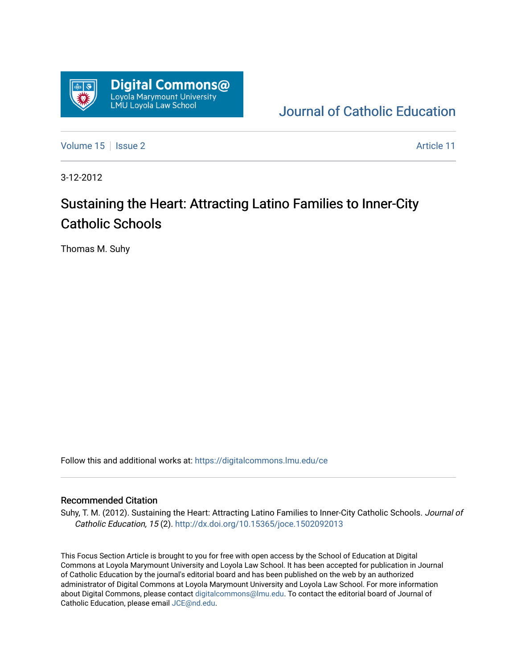

[Journal of Catholic Education](https://digitalcommons.lmu.edu/ce) 

[Volume 15](https://digitalcommons.lmu.edu/ce/vol15) | [Issue 2](https://digitalcommons.lmu.edu/ce/vol15/iss2) Article 11

3-12-2012

# Sustaining the Heart: Attracting Latino Families to Inner-City Catholic Schools

Thomas M. Suhy

Follow this and additional works at: [https://digitalcommons.lmu.edu/ce](https://digitalcommons.lmu.edu/ce?utm_source=digitalcommons.lmu.edu%2Fce%2Fvol15%2Fiss2%2F11&utm_medium=PDF&utm_campaign=PDFCoverPages)

## Recommended Citation

Suhy, T. M. (2012). Sustaining the Heart: Attracting Latino Families to Inner-City Catholic Schools. Journal of Catholic Education, 15 (2). <http://dx.doi.org/10.15365/joce.1502092013>

This Focus Section Article is brought to you for free with open access by the School of Education at Digital Commons at Loyola Marymount University and Loyola Law School. It has been accepted for publication in Journal of Catholic Education by the journal's editorial board and has been published on the web by an authorized administrator of Digital Commons at Loyola Marymount University and Loyola Law School. For more information about Digital Commons, please contact [digitalcommons@lmu.edu](mailto:digitalcommons@lmu.edu). To contact the editorial board of Journal of Catholic Education, please email [JCE@nd.edu.](mailto:JCE@nd.edu)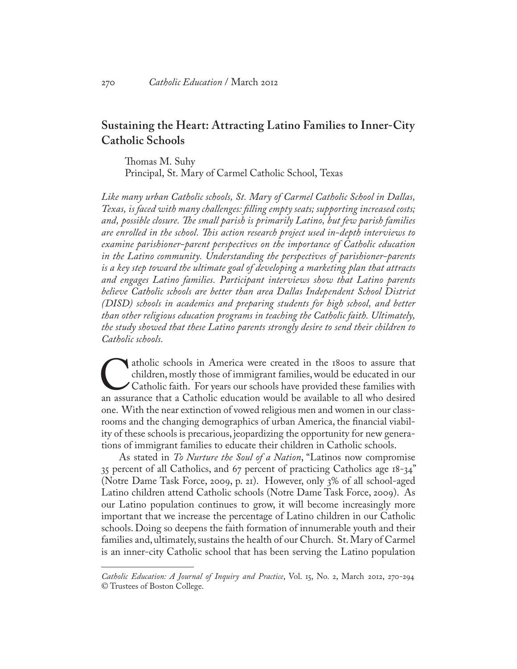## **Sustaining the Heart: Attracting Latino Families to Inner-City Catholic Schools**

Thomas M. Suhy Principal, St. Mary of Carmel Catholic School, Texas

*Like many urban Catholic schools, St. Mary of Carmel Catholic School in Dallas, Texas, is faced with many challenges: filling empty seats; supporting increased costs; and, possible closure. The small parish is primarily Latino, but few parish families are enrolled in the school. This action research project used in-depth interviews to examine parishioner-parent perspectives on the importance of Catholic education in the Latino community. Understanding the perspectives of parishioner-parents is a key step toward the ultimate goal of developing a marketing plan that attracts and engages Latino families. Participant interviews show that Latino parents believe Catholic schools are better than area Dallas Independent School District (DISD) schools in academics and preparing students for high school, and better than other religious education programs in teaching the Catholic faith. Ultimately, the study showed that these Latino parents strongly desire to send their children to Catholic schools.* 

atholic schools in America were created in the 1800s to assure that children, mostly those of immigrant families, would be educated in our Catholic faith. For years our schools have provided these families with an assuranc children, mostly those of immigrant families, would be educated in our Catholic faith. For years our schools have provided these families with one. With the near extinction of vowed religious men and women in our classrooms and the changing demographics of urban America, the financial viability of these schools is precarious, jeopardizing the opportunity for new generations of immigrant families to educate their children in Catholic schools.

As stated in *To Nurture the Soul of a Nation*, "Latinos now compromise 35 percent of all Catholics, and 67 percent of practicing Catholics age 18-34" (Notre Dame Task Force, 2009, p. 21). However, only 3% of all school-aged Latino children attend Catholic schools (Notre Dame Task Force, 2009). As our Latino population continues to grow, it will become increasingly more important that we increase the percentage of Latino children in our Catholic schools. Doing so deepens the faith formation of innumerable youth and their families and, ultimately, sustains the health of our Church. St. Mary of Carmel is an inner-city Catholic school that has been serving the Latino population

*Catholic Education: A Journal of Inquiry and Practice*, Vol. 15, No. 2, March 2012, 270-294 © Trustees of Boston College.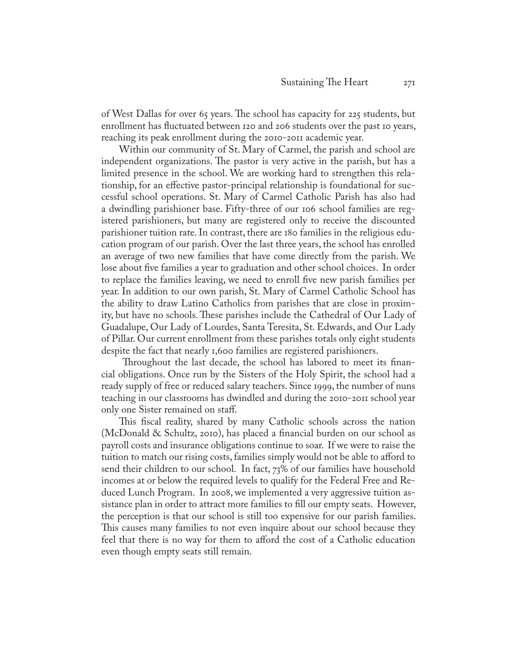of West Dallas for over 65 years. The school has capacity for 225 students, but enrollment has fluctuated between 120 and 206 students over the past 10 years, reaching its peak enrollment during the 2010-2011 academic year.

Within our community of St. Mary of Carmel, the parish and school are independent organizations. The pastor is very active in the parish, but has a limited presence in the school. We are working hard to strengthen this relationship, for an effective pastor-principal relationship is foundational for successful school operations. St. Mary of Carmel Catholic Parish has also had a dwindling parishioner base. Fifty-three of our 106 school families are registered parishioners, but many are registered only to receive the discounted parishioner tuition rate. In contrast, there are 180 families in the religious education program of our parish. Over the last three years, the school has enrolled an average of two new families that have come directly from the parish. We lose about five families a year to graduation and other school choices. In order to replace the families leaving, we need to enroll five new parish families per year. In addition to our own parish, St. Mary of Carmel Catholic School has the ability to draw Latino Catholics from parishes that are close in proximity, but have no schools. These parishes include the Cathedral of Our Lady of Guadalupe, Our Lady of Lourdes, Santa Teresita, St. Edwards, and Our Lady of Pillar. Our current enrollment from these parishes totals only eight students despite the fact that nearly 1,600 families are registered parishioners.

 Throughout the last decade, the school has labored to meet its financial obligations. Once run by the Sisters of the Holy Spirit, the school had a ready supply of free or reduced salary teachers. Since 1999, the number of nuns teaching in our classrooms has dwindled and during the 2010-2011 school year only one Sister remained on staff.

This fiscal reality, shared by many Catholic schools across the nation (McDonald & Schultz, 2010), has placed a financial burden on our school as payroll costs and insurance obligations continue to soar. If we were to raise the tuition to match our rising costs, families simply would not be able to afford to send their children to our school. In fact, 73% of our families have household incomes at or below the required levels to qualify for the Federal Free and Reduced Lunch Program. In 2008, we implemented a very aggressive tuition assistance plan in order to attract more families to fill our empty seats. However, the perception is that our school is still too expensive for our parish families. This causes many families to not even inquire about our school because they feel that there is no way for them to afford the cost of a Catholic education even though empty seats still remain.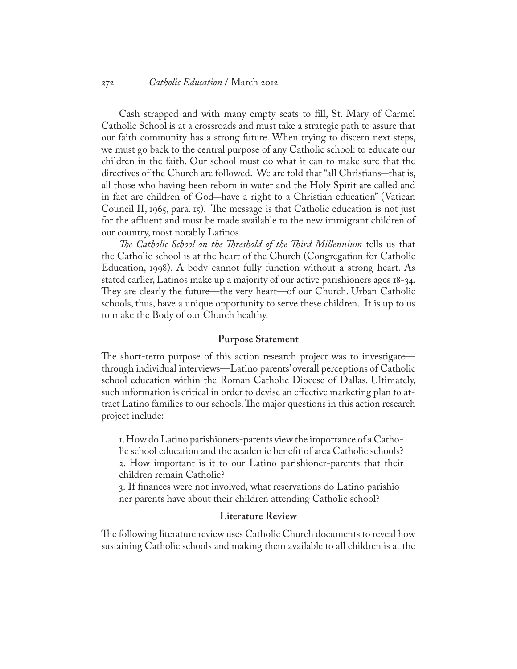#### 272 *Catholic Education* / March 2012

Cash strapped and with many empty seats to fill, St. Mary of Carmel Catholic School is at a crossroads and must take a strategic path to assure that our faith community has a strong future. When trying to discern next steps, we must go back to the central purpose of any Catholic school: to educate our children in the faith. Our school must do what it can to make sure that the directives of the Church are followed. We are told that "all Christians–that is, all those who having been reborn in water and the Holy Spirit are called and in fact are children of God–have a right to a Christian education" (Vatican Council II, 1965, para. 15). The message is that Catholic education is not just for the affluent and must be made available to the new immigrant children of our country, most notably Latinos.

*The Catholic School on the Threshold of the Third Millennium* tells us that the Catholic school is at the heart of the Church (Congregation for Catholic Education, 1998). A body cannot fully function without a strong heart. As stated earlier, Latinos make up a majority of our active parishioners ages 18-34. They are clearly the future—the very heart—of our Church. Urban Catholic schools, thus, have a unique opportunity to serve these children. It is up to us to make the Body of our Church healthy.

#### **Purpose Statement**

The short-term purpose of this action research project was to investigate through individual interviews—Latino parents' overall perceptions of Catholic school education within the Roman Catholic Diocese of Dallas. Ultimately, such information is critical in order to devise an effective marketing plan to attract Latino families to our schools. The major questions in this action research project include:

1. How do Latino parishioners-parents view the importance of a Catholic school education and the academic benefit of area Catholic schools? 2. How important is it to our Latino parishioner-parents that their children remain Catholic?

3. If finances were not involved, what reservations do Latino parishioner parents have about their children attending Catholic school?

## **Literature Review**

The following literature review uses Catholic Church documents to reveal how sustaining Catholic schools and making them available to all children is at the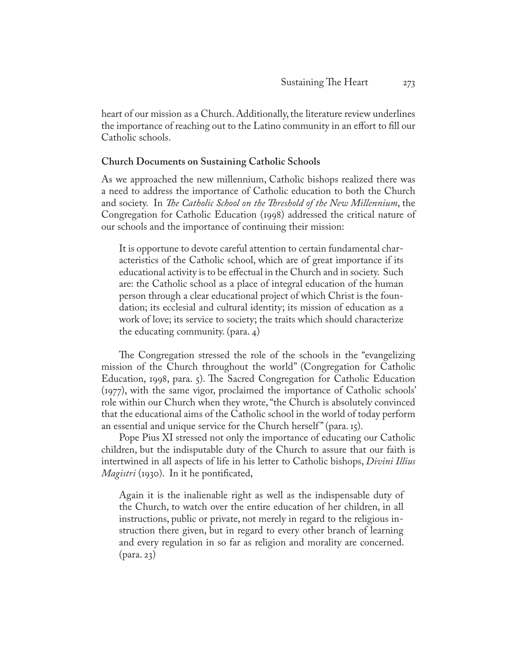heart of our mission as a Church. Additionally, the literature review underlines the importance of reaching out to the Latino community in an effort to fill our Catholic schools.

#### **Church Documents on Sustaining Catholic Schools**

As we approached the new millennium, Catholic bishops realized there was a need to address the importance of Catholic education to both the Church and society. In *The Catholic School on the Threshold of the New Millennium*, the Congregation for Catholic Education (1998) addressed the critical nature of our schools and the importance of continuing their mission:

It is opportune to devote careful attention to certain fundamental characteristics of the Catholic school, which are of great importance if its educational activity is to be effectual in the Church and in society. Such are: the Catholic school as a place of integral education of the human person through a clear educational project of which Christ is the foundation; its ecclesial and cultural identity; its mission of education as a work of love; its service to society; the traits which should characterize the educating community. (para. 4)

The Congregation stressed the role of the schools in the "evangelizing mission of the Church throughout the world" (Congregation for Catholic Education, 1998, para. 5). The Sacred Congregation for Catholic Education (1977), with the same vigor, proclaimed the importance of Catholic schools' role within our Church when they wrote, "the Church is absolutely convinced that the educational aims of the Catholic school in the world of today perform an essential and unique service for the Church herself" (para. 15).

Pope Pius XI stressed not only the importance of educating our Catholic children, but the indisputable duty of the Church to assure that our faith is intertwined in all aspects of life in his letter to Catholic bishops, *Divini Illius Magistri* (1930). In it he pontificated,

Again it is the inalienable right as well as the indispensable duty of the Church, to watch over the entire education of her children, in all instructions, public or private, not merely in regard to the religious instruction there given, but in regard to every other branch of learning and every regulation in so far as religion and morality are concerned. (para. 23)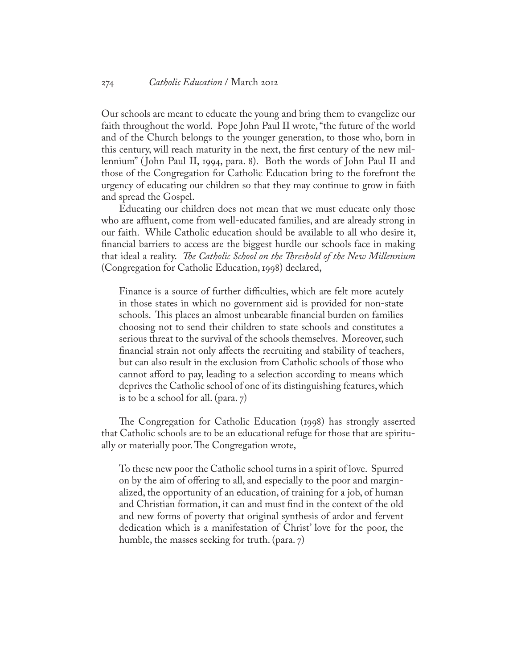Our schools are meant to educate the young and bring them to evangelize our faith throughout the world. Pope John Paul II wrote, "the future of the world and of the Church belongs to the younger generation, to those who, born in this century, will reach maturity in the next, the first century of the new millennium" ( John Paul II, 1994, para. 8). Both the words of John Paul II and those of the Congregation for Catholic Education bring to the forefront the urgency of educating our children so that they may continue to grow in faith and spread the Gospel.

Educating our children does not mean that we must educate only those who are affluent, come from well-educated families, and are already strong in our faith. While Catholic education should be available to all who desire it, financial barriers to access are the biggest hurdle our schools face in making that ideal a reality. *The Catholic School on the Threshold of the New Millennium* (Congregation for Catholic Education, 1998) declared,

Finance is a source of further difficulties, which are felt more acutely in those states in which no government aid is provided for non-state schools. This places an almost unbearable financial burden on families choosing not to send their children to state schools and constitutes a serious threat to the survival of the schools themselves. Moreover, such financial strain not only affects the recruiting and stability of teachers, but can also result in the exclusion from Catholic schools of those who cannot afford to pay, leading to a selection according to means which deprives the Catholic school of one of its distinguishing features, which is to be a school for all. (para. 7)

The Congregation for Catholic Education (1998) has strongly asserted that Catholic schools are to be an educational refuge for those that are spiritually or materially poor. The Congregation wrote,

To these new poor the Catholic school turns in a spirit of love. Spurred on by the aim of offering to all, and especially to the poor and marginalized, the opportunity of an education, of training for a job, of human and Christian formation, it can and must find in the context of the old and new forms of poverty that original synthesis of ardor and fervent dedication which is a manifestation of Christ' love for the poor, the humble, the masses seeking for truth. (para. 7)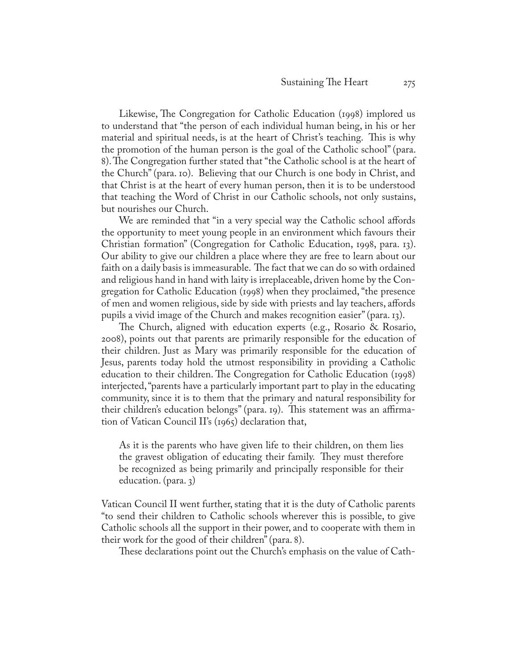Likewise, The Congregation for Catholic Education (1998) implored us to understand that "the person of each individual human being, in his or her material and spiritual needs, is at the heart of Christ's teaching. This is why the promotion of the human person is the goal of the Catholic school" (para. 8). The Congregation further stated that "the Catholic school is at the heart of the Church" (para. 10). Believing that our Church is one body in Christ, and that Christ is at the heart of every human person, then it is to be understood that teaching the Word of Christ in our Catholic schools, not only sustains, but nourishes our Church.

We are reminded that "in a very special way the Catholic school affords the opportunity to meet young people in an environment which favours their Christian formation" (Congregation for Catholic Education, 1998, para. 13). Our ability to give our children a place where they are free to learn about our faith on a daily basis is immeasurable. The fact that we can do so with ordained and religious hand in hand with laity is irreplaceable, driven home by the Congregation for Catholic Education (1998) when they proclaimed, "the presence of men and women religious, side by side with priests and lay teachers, affords pupils a vivid image of the Church and makes recognition easier" (para. 13).

The Church, aligned with education experts (e.g., Rosario & Rosario, 2008), points out that parents are primarily responsible for the education of their children. Just as Mary was primarily responsible for the education of Jesus, parents today hold the utmost responsibility in providing a Catholic education to their children. The Congregation for Catholic Education (1998) interjected, "parents have a particularly important part to play in the educating community, since it is to them that the primary and natural responsibility for their children's education belongs" (para. 19). This statement was an affirmation of Vatican Council II's (1965) declaration that,

As it is the parents who have given life to their children, on them lies the gravest obligation of educating their family. They must therefore be recognized as being primarily and principally responsible for their education. (para. 3)

Vatican Council II went further, stating that it is the duty of Catholic parents "to send their children to Catholic schools wherever this is possible, to give Catholic schools all the support in their power, and to cooperate with them in their work for the good of their children" (para. 8).

These declarations point out the Church's emphasis on the value of Cath-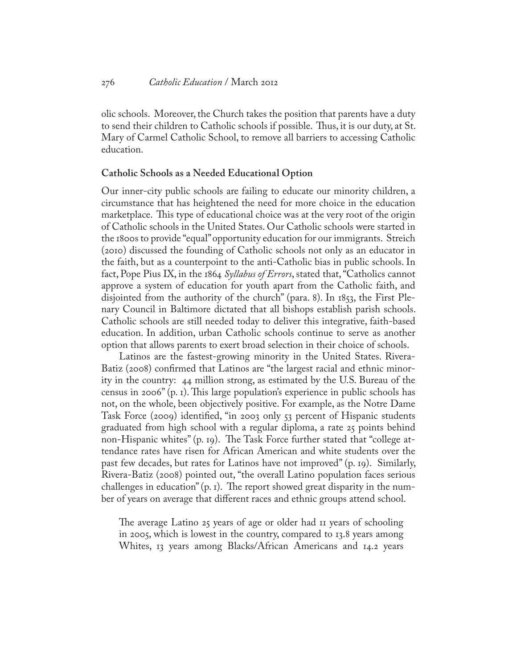olic schools. Moreover, the Church takes the position that parents have a duty to send their children to Catholic schools if possible. Thus, it is our duty, at St. Mary of Carmel Catholic School, to remove all barriers to accessing Catholic education.

## **Catholic Schools as a Needed Educational Option**

Our inner-city public schools are failing to educate our minority children, a circumstance that has heightened the need for more choice in the education marketplace. This type of educational choice was at the very root of the origin of Catholic schools in the United States. Our Catholic schools were started in the 1800s to provide "equal" opportunity education for our immigrants. Streich (2010) discussed the founding of Catholic schools not only as an educator in the faith, but as a counterpoint to the anti-Catholic bias in public schools. In fact, Pope Pius IX, in the 1864 *Syllabus of Errors*, stated that, "Catholics cannot approve a system of education for youth apart from the Catholic faith, and disjointed from the authority of the church" (para. 8). In 1853, the First Plenary Council in Baltimore dictated that all bishops establish parish schools. Catholic schools are still needed today to deliver this integrative, faith-based education. In addition, urban Catholic schools continue to serve as another option that allows parents to exert broad selection in their choice of schools.

Latinos are the fastest-growing minority in the United States. Rivera-Batiz (2008) confirmed that Latinos are "the largest racial and ethnic minority in the country: 44 million strong, as estimated by the U.S. Bureau of the census in 2006" (p. 1). This large population's experience in public schools has not, on the whole, been objectively positive. For example, as the Notre Dame Task Force (2009) identified, "in 2003 only 53 percent of Hispanic students graduated from high school with a regular diploma, a rate 25 points behind non-Hispanic whites" (p. 19). The Task Force further stated that "college attendance rates have risen for African American and white students over the past few decades, but rates for Latinos have not improved" (p. 19). Similarly, Rivera-Batiz (2008) pointed out, "the overall Latino population faces serious challenges in education" (p. 1). The report showed great disparity in the number of years on average that different races and ethnic groups attend school.

The average Latino 25 years of age or older had 11 years of schooling in 2005, which is lowest in the country, compared to 13.8 years among Whites, 13 years among Blacks/African Americans and 14.2 years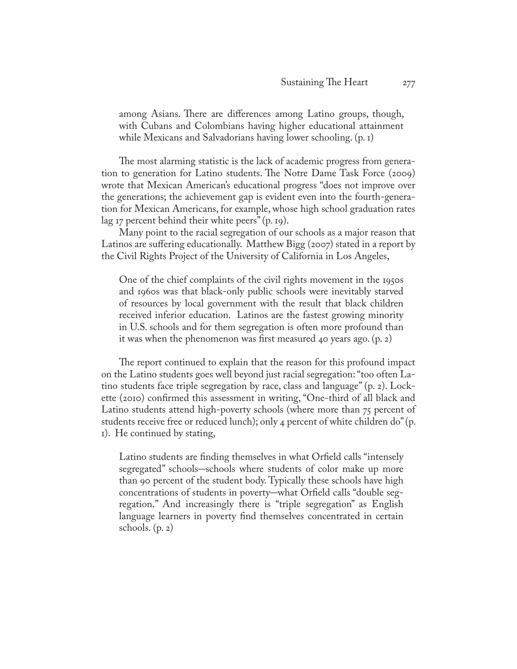among Asians. There are differences among Latino groups, though, with Cubans and Colombians having higher educational attainment while Mexicans and Salvadorians having lower schooling. (p. 1)

The most alarming statistic is the lack of academic progress from generation to generation for Latino students. The Notre Dame Task Force (2009) wrote that Mexican American's educational progress "does not improve over the generations; the achievement gap is evident even into the fourth-generation for Mexican Americans, for example, whose high school graduation rates lag 17 percent behind their white peers" (p. 19).

Many point to the racial segregation of our schools as a major reason that Latinos are suffering educationally. Matthew Bigg (2007) stated in a report by the Civil Rights Project of the University of California in Los Angeles,

One of the chief complaints of the civil rights movement in the 1950s and 1960s was that black-only public schools were inevitably starved of resources by local government with the result that black children received inferior education. Latinos are the fastest growing minority in U.S. schools and for them segregation is often more profound than it was when the phenomenon was first measured 40 years ago. (p. 2)

The report continued to explain that the reason for this profound impact on the Latino students goes well beyond just racial segregation: "too often Latino students face triple segregation by race, class and language" (p. 2). Lockette (2010) confirmed this assessment in writing, "One-third of all black and Latino students attend high-poverty schools (where more than 75 percent of students receive free or reduced lunch); only 4 percent of white children do" (p. 1). He continued by stating,

Latino students are finding themselves in what Orfield calls "intensely segregated" schools–schools where students of color make up more than 90 percent of the student body. Typically these schools have high concentrations of students in poverty–what Orfield calls "double segregation." And increasingly there is "triple segregation" as English language learners in poverty find themselves concentrated in certain schools.  $(p, 2)$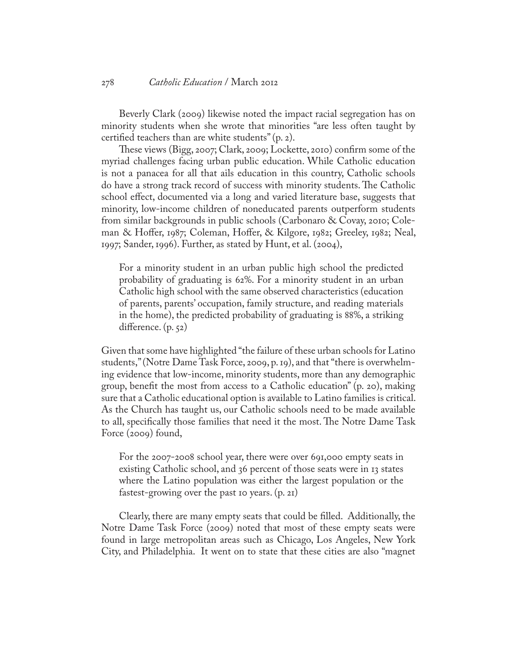#### 278 *Catholic Education* / March 2012

Beverly Clark (2009) likewise noted the impact racial segregation has on minority students when she wrote that minorities "are less often taught by certified teachers than are white students" (p. 2).

These views (Bigg, 2007; Clark, 2009; Lockette, 2010) confirm some of the myriad challenges facing urban public education. While Catholic education is not a panacea for all that ails education in this country, Catholic schools do have a strong track record of success with minority students. The Catholic school effect, documented via a long and varied literature base, suggests that minority, low-income children of noneducated parents outperform students from similar backgrounds in public schools (Carbonaro & Covay, 2010; Coleman & Hoffer, 1987; Coleman, Hoffer, & Kilgore, 1982; Greeley, 1982; Neal, 1997; Sander, 1996). Further, as stated by Hunt, et al. (2004),

For a minority student in an urban public high school the predicted probability of graduating is 62%. For a minority student in an urban Catholic high school with the same observed characteristics (education of parents, parents' occupation, family structure, and reading materials in the home), the predicted probability of graduating is 88%, a striking difference. (p. 52)

Given that some have highlighted "the failure of these urban schools for Latino students," (Notre Dame Task Force, 2009, p. 19), and that "there is overwhelming evidence that low-income, minority students, more than any demographic group, benefit the most from access to a Catholic education" (p. 20), making sure that a Catholic educational option is available to Latino families is critical. As the Church has taught us, our Catholic schools need to be made available to all, specifically those families that need it the most. The Notre Dame Task Force (2009) found,

For the 2007-2008 school year, there were over 691,000 empty seats in existing Catholic school, and 36 percent of those seats were in 13 states where the Latino population was either the largest population or the fastest-growing over the past 10 years. (p. 21)

Clearly, there are many empty seats that could be filled. Additionally, the Notre Dame Task Force (2009) noted that most of these empty seats were found in large metropolitan areas such as Chicago, Los Angeles, New York City, and Philadelphia. It went on to state that these cities are also "magnet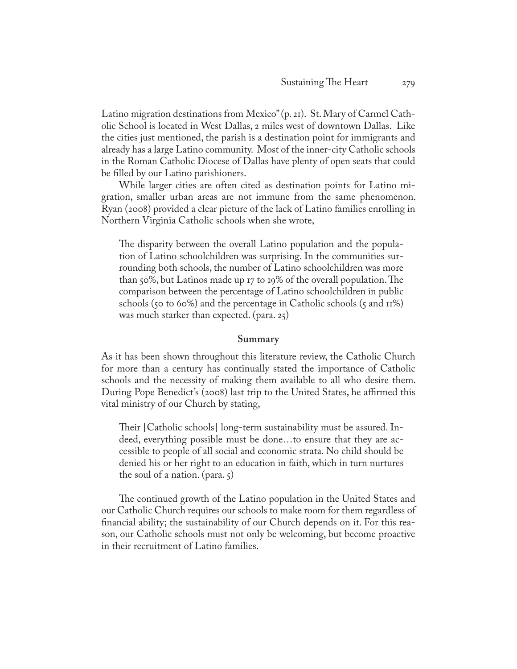Latino migration destinations from Mexico" (p. 21). St. Mary of Carmel Catholic School is located in West Dallas, 2 miles west of downtown Dallas. Like the cities just mentioned, the parish is a destination point for immigrants and already has a large Latino community. Most of the inner-city Catholic schools in the Roman Catholic Diocese of Dallas have plenty of open seats that could be filled by our Latino parishioners.

While larger cities are often cited as destination points for Latino migration, smaller urban areas are not immune from the same phenomenon. Ryan (2008) provided a clear picture of the lack of Latino families enrolling in Northern Virginia Catholic schools when she wrote,

The disparity between the overall Latino population and the population of Latino schoolchildren was surprising. In the communities surrounding both schools, the number of Latino schoolchildren was more than 50%, but Latinos made up 17 to 19% of the overall population. The comparison between the percentage of Latino schoolchildren in public schools (50 to 60%) and the percentage in Catholic schools (5 and  $\pi$ 1%) was much starker than expected. (para. 25)

#### **Summary**

As it has been shown throughout this literature review, the Catholic Church for more than a century has continually stated the importance of Catholic schools and the necessity of making them available to all who desire them. During Pope Benedict's (2008) last trip to the United States, he affirmed this vital ministry of our Church by stating,

Their [Catholic schools] long-term sustainability must be assured. Indeed, everything possible must be done…to ensure that they are accessible to people of all social and economic strata. No child should be denied his or her right to an education in faith, which in turn nurtures the soul of a nation. (para. 5)

The continued growth of the Latino population in the United States and our Catholic Church requires our schools to make room for them regardless of financial ability; the sustainability of our Church depends on it. For this reason, our Catholic schools must not only be welcoming, but become proactive in their recruitment of Latino families.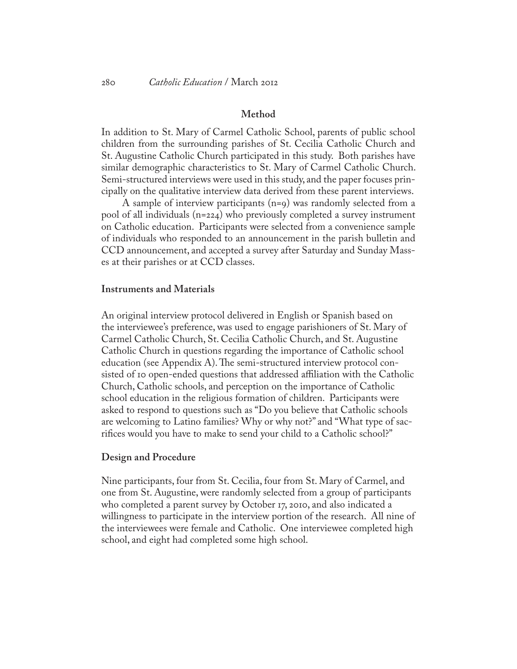#### **Method**

In addition to St. Mary of Carmel Catholic School, parents of public school children from the surrounding parishes of St. Cecilia Catholic Church and St. Augustine Catholic Church participated in this study. Both parishes have similar demographic characteristics to St. Mary of Carmel Catholic Church. Semi-structured interviews were used in this study, and the paper focuses principally on the qualitative interview data derived from these parent interviews.

 A sample of interview participants (n=9) was randomly selected from a pool of all individuals (n=224) who previously completed a survey instrument on Catholic education. Participants were selected from a convenience sample of individuals who responded to an announcement in the parish bulletin and CCD announcement, and accepted a survey after Saturday and Sunday Masses at their parishes or at CCD classes.

## **Instruments and Materials**

An original interview protocol delivered in English or Spanish based on the interviewee's preference, was used to engage parishioners of St. Mary of Carmel Catholic Church, St. Cecilia Catholic Church, and St. Augustine Catholic Church in questions regarding the importance of Catholic school education (see Appendix A). The semi-structured interview protocol consisted of 10 open-ended questions that addressed affiliation with the Catholic Church, Catholic schools, and perception on the importance of Catholic school education in the religious formation of children. Participants were asked to respond to questions such as "Do you believe that Catholic schools are welcoming to Latino families? Why or why not?" and "What type of sacrifices would you have to make to send your child to a Catholic school?"

#### **Design and Procedure**

Nine participants, four from St. Cecilia, four from St. Mary of Carmel, and one from St. Augustine, were randomly selected from a group of participants who completed a parent survey by October 17, 2010, and also indicated a willingness to participate in the interview portion of the research. All nine of the interviewees were female and Catholic. One interviewee completed high school, and eight had completed some high school.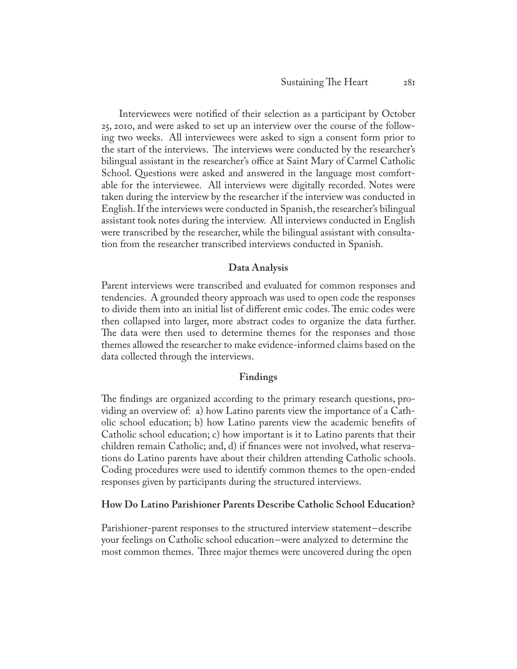Interviewees were notified of their selection as a participant by October 25, 2010, and were asked to set up an interview over the course of the following two weeks. All interviewees were asked to sign a consent form prior to the start of the interviews. The interviews were conducted by the researcher's bilingual assistant in the researcher's office at Saint Mary of Carmel Catholic School. Questions were asked and answered in the language most comfortable for the interviewee. All interviews were digitally recorded. Notes were taken during the interview by the researcher if the interview was conducted in English. If the interviews were conducted in Spanish, the researcher's bilingual assistant took notes during the interview. All interviews conducted in English were transcribed by the researcher, while the bilingual assistant with consultation from the researcher transcribed interviews conducted in Spanish.

## **Data Analysis**

Parent interviews were transcribed and evaluated for common responses and tendencies. A grounded theory approach was used to open code the responses to divide them into an initial list of different emic codes. The emic codes were then collapsed into larger, more abstract codes to organize the data further. The data were then used to determine themes for the responses and those themes allowed the researcher to make evidence-informed claims based on the data collected through the interviews.

## **Findings**

The findings are organized according to the primary research questions, providing an overview of: a) how Latino parents view the importance of a Catholic school education; b) how Latino parents view the academic benefits of Catholic school education; c) how important is it to Latino parents that their children remain Catholic; and, d) if finances were not involved, what reservations do Latino parents have about their children attending Catholic schools. Coding procedures were used to identify common themes to the open-ended responses given by participants during the structured interviews.

## **How Do Latino Parishioner Parents Describe Catholic School Education?**

Parishioner-parent responses to the structured interview statement-describe your feelings on Catholic school education-were analyzed to determine the most common themes. Three major themes were uncovered during the open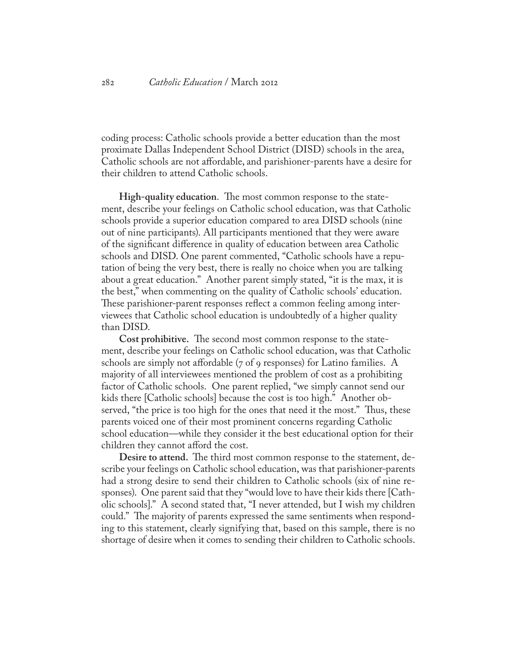coding process: Catholic schools provide a better education than the most proximate Dallas Independent School District (DISD) schools in the area, Catholic schools are not affordable, and parishioner-parents have a desire for their children to attend Catholic schools.

**High-quality education**. The most common response to the statement, describe your feelings on Catholic school education, was that Catholic schools provide a superior education compared to area DISD schools (nine out of nine participants). All participants mentioned that they were aware of the significant difference in quality of education between area Catholic schools and DISD. One parent commented, "Catholic schools have a reputation of being the very best, there is really no choice when you are talking about a great education." Another parent simply stated, "it is the max, it is the best," when commenting on the quality of Catholic schools' education. These parishioner-parent responses reflect a common feeling among interviewees that Catholic school education is undoubtedly of a higher quality than DISD.

**Cost prohibitive.** The second most common response to the statement, describe your feelings on Catholic school education, was that Catholic schools are simply not affordable (7 of 9 responses) for Latino families. A majority of all interviewees mentioned the problem of cost as a prohibiting factor of Catholic schools. One parent replied, "we simply cannot send our kids there [Catholic schools] because the cost is too high." Another observed, "the price is too high for the ones that need it the most." Thus, these parents voiced one of their most prominent concerns regarding Catholic school education—while they consider it the best educational option for their children they cannot afford the cost.

**Desire to attend.** The third most common response to the statement, describe your feelings on Catholic school education, was that parishioner-parents had a strong desire to send their children to Catholic schools (six of nine responses). One parent said that they "would love to have their kids there [Catholic schools]." A second stated that, "I never attended, but I wish my children could." The majority of parents expressed the same sentiments when responding to this statement, clearly signifying that, based on this sample, there is no shortage of desire when it comes to sending their children to Catholic schools.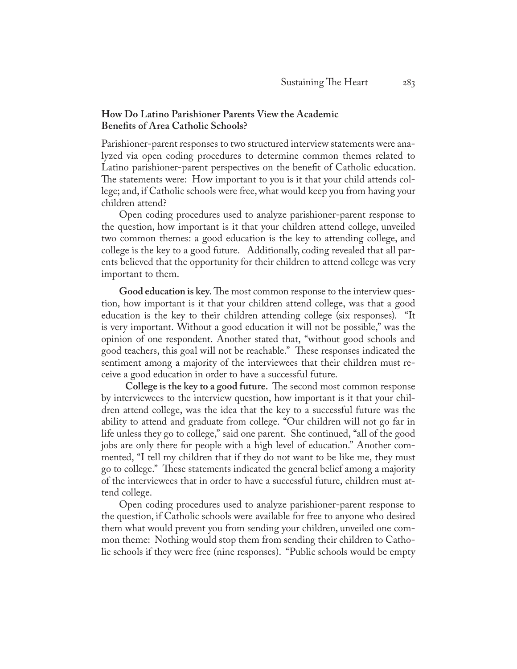## **How Do Latino Parishioner Parents View the Academic Benefits of Area Catholic Schools?**

Parishioner-parent responses to two structured interview statements were analyzed via open coding procedures to determine common themes related to Latino parishioner-parent perspectives on the benefit of Catholic education. The statements were: How important to you is it that your child attends college; and, if Catholic schools were free, what would keep you from having your children attend?

Open coding procedures used to analyze parishioner-parent response to the question, how important is it that your children attend college, unveiled two common themes: a good education is the key to attending college, and college is the key to a good future. Additionally, coding revealed that all parents believed that the opportunity for their children to attend college was very important to them.

**Good education is key.** The most common response to the interview question, how important is it that your children attend college, was that a good education is the key to their children attending college (six responses). "It is very important. Without a good education it will not be possible," was the opinion of one respondent. Another stated that, "without good schools and good teachers, this goal will not be reachable." These responses indicated the sentiment among a majority of the interviewees that their children must receive a good education in order to have a successful future.

 **College is the key to a good future.** The second most common response by interviewees to the interview question, how important is it that your children attend college, was the idea that the key to a successful future was the ability to attend and graduate from college. "Our children will not go far in life unless they go to college," said one parent. She continued, "all of the good jobs are only there for people with a high level of education." Another commented, "I tell my children that if they do not want to be like me, they must go to college." These statements indicated the general belief among a majority of the interviewees that in order to have a successful future, children must attend college.

Open coding procedures used to analyze parishioner-parent response to the question, if Catholic schools were available for free to anyone who desired them what would prevent you from sending your children, unveiled one common theme: Nothing would stop them from sending their children to Catholic schools if they were free (nine responses). "Public schools would be empty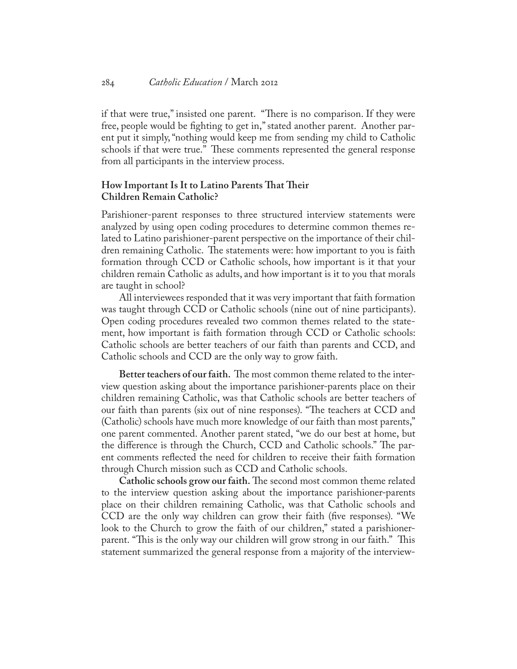if that were true," insisted one parent. "There is no comparison. If they were free, people would be fighting to get in," stated another parent. Another parent put it simply, "nothing would keep me from sending my child to Catholic schools if that were true." These comments represented the general response from all participants in the interview process.

## **How Important Is It to Latino Parents That Their Children Remain Catholic?**

Parishioner-parent responses to three structured interview statements were analyzed by using open coding procedures to determine common themes related to Latino parishioner-parent perspective on the importance of their children remaining Catholic. The statements were: how important to you is faith formation through CCD or Catholic schools, how important is it that your children remain Catholic as adults, and how important is it to you that morals are taught in school?

All interviewees responded that it was very important that faith formation was taught through CCD or Catholic schools (nine out of nine participants). Open coding procedures revealed two common themes related to the statement, how important is faith formation through CCD or Catholic schools: Catholic schools are better teachers of our faith than parents and CCD, and Catholic schools and CCD are the only way to grow faith.

**Better teachers of our faith.** The most common theme related to the interview question asking about the importance parishioner-parents place on their children remaining Catholic, was that Catholic schools are better teachers of our faith than parents (six out of nine responses). "The teachers at CCD and (Catholic) schools have much more knowledge of our faith than most parents," one parent commented. Another parent stated, "we do our best at home, but the difference is through the Church, CCD and Catholic schools." The parent comments reflected the need for children to receive their faith formation through Church mission such as CCD and Catholic schools.

**Catholic schools grow our faith.** The second most common theme related to the interview question asking about the importance parishioner-parents place on their children remaining Catholic, was that Catholic schools and CCD are the only way children can grow their faith (five responses). "We look to the Church to grow the faith of our children," stated a parishionerparent. "This is the only way our children will grow strong in our faith." This statement summarized the general response from a majority of the interview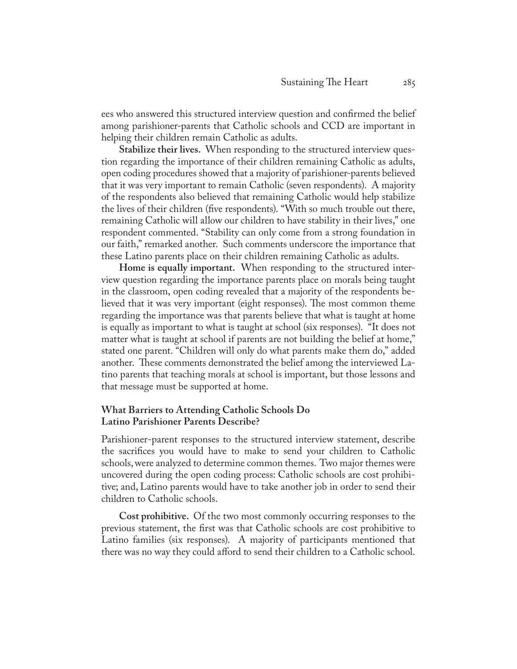ees who answered this structured interview question and confirmed the belief among parishioner-parents that Catholic schools and CCD are important in helping their children remain Catholic as adults.

**Stabilize their lives.** When responding to the structured interview question regarding the importance of their children remaining Catholic as adults, open coding procedures showed that a majority of parishioner-parents believed that it was very important to remain Catholic (seven respondents). A majority of the respondents also believed that remaining Catholic would help stabilize the lives of their children (five respondents). "With so much trouble out there, remaining Catholic will allow our children to have stability in their lives," one respondent commented. "Stability can only come from a strong foundation in our faith," remarked another. Such comments underscore the importance that these Latino parents place on their children remaining Catholic as adults.

**Home is equally important.** When responding to the structured interview question regarding the importance parents place on morals being taught in the classroom, open coding revealed that a majority of the respondents believed that it was very important (eight responses). The most common theme regarding the importance was that parents believe that what is taught at home is equally as important to what is taught at school (six responses). "It does not matter what is taught at school if parents are not building the belief at home," stated one parent. "Children will only do what parents make them do," added another. These comments demonstrated the belief among the interviewed Latino parents that teaching morals at school is important, but those lessons and that message must be supported at home.

## **What Barriers to Attending Catholic Schools Do Latino Parishioner Parents Describe?**

Parishioner-parent responses to the structured interview statement, describe the sacrifices you would have to make to send your children to Catholic schools, were analyzed to determine common themes. Two major themes were uncovered during the open coding process: Catholic schools are cost prohibitive; and, Latino parents would have to take another job in order to send their children to Catholic schools.

**Cost prohibitive.** Of the two most commonly occurring responses to the previous statement, the first was that Catholic schools are cost prohibitive to Latino families (six responses). A majority of participants mentioned that there was no way they could afford to send their children to a Catholic school.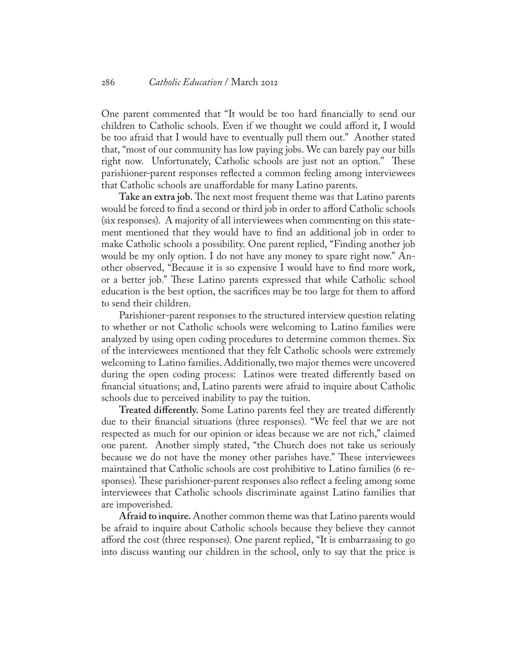One parent commented that "It would be too hard financially to send our children to Catholic schools. Even if we thought we could afford it, I would be too afraid that I would have to eventually pull them out." Another stated that, "most of our community has low paying jobs. We can barely pay our bills right now. Unfortunately, Catholic schools are just not an option." These parishioner-parent responses reflected a common feeling among interviewees that Catholic schools are unaffordable for many Latino parents.

**Take an extra job.** The next most frequent theme was that Latino parents would be forced to find a second or third job in order to afford Catholic schools (six responses). A majority of all interviewees when commenting on this statement mentioned that they would have to find an additional job in order to make Catholic schools a possibility. One parent replied, "Finding another job would be my only option. I do not have any money to spare right now." Another observed, "Because it is so expensive I would have to find more work, or a better job." These Latino parents expressed that while Catholic school education is the best option, the sacrifices may be too large for them to afford to send their children.

Parishioner-parent responses to the structured interview question relating to whether or not Catholic schools were welcoming to Latino families were analyzed by using open coding procedures to determine common themes. Six of the interviewees mentioned that they felt Catholic schools were extremely welcoming to Latino families. Additionally, two major themes were uncovered during the open coding process: Latinos were treated differently based on financial situations; and, Latino parents were afraid to inquire about Catholic schools due to perceived inability to pay the tuition.

**Treated differently.** Some Latino parents feel they are treated differently due to their financial situations (three responses). "We feel that we are not respected as much for our opinion or ideas because we are not rich," claimed one parent. Another simply stated, "the Church does not take us seriously because we do not have the money other parishes have." These interviewees maintained that Catholic schools are cost prohibitive to Latino families (6 responses). These parishioner-parent responses also reflect a feeling among some interviewees that Catholic schools discriminate against Latino families that are impoverished.

**Afraid to inquire.** Another common theme was that Latino parents would be afraid to inquire about Catholic schools because they believe they cannot afford the cost (three responses). One parent replied, "It is embarrassing to go into discuss wanting our children in the school, only to say that the price is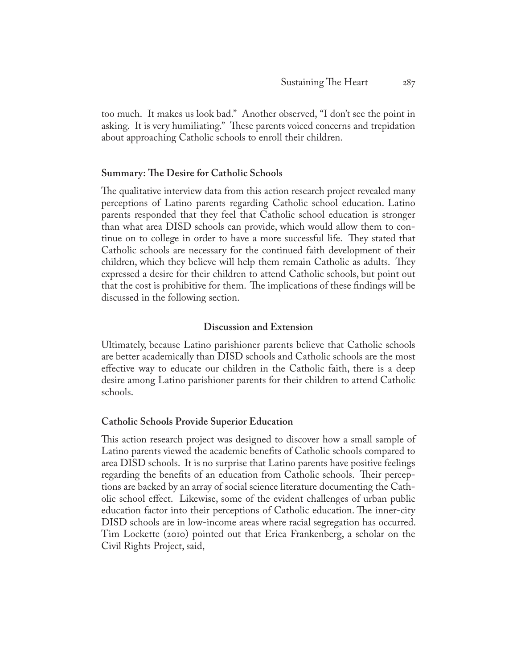too much. It makes us look bad." Another observed, "I don't see the point in asking. It is very humiliating." These parents voiced concerns and trepidation about approaching Catholic schools to enroll their children.

## **Summary: The Desire for Catholic Schools**

The qualitative interview data from this action research project revealed many perceptions of Latino parents regarding Catholic school education. Latino parents responded that they feel that Catholic school education is stronger than what area DISD schools can provide, which would allow them to continue on to college in order to have a more successful life. They stated that Catholic schools are necessary for the continued faith development of their children, which they believe will help them remain Catholic as adults. They expressed a desire for their children to attend Catholic schools, but point out that the cost is prohibitive for them. The implications of these findings will be discussed in the following section.

## **Discussion and Extension**

Ultimately, because Latino parishioner parents believe that Catholic schools are better academically than DISD schools and Catholic schools are the most effective way to educate our children in the Catholic faith, there is a deep desire among Latino parishioner parents for their children to attend Catholic schools.

## **Catholic Schools Provide Superior Education**

This action research project was designed to discover how a small sample of Latino parents viewed the academic benefits of Catholic schools compared to area DISD schools. It is no surprise that Latino parents have positive feelings regarding the benefits of an education from Catholic schools. Their perceptions are backed by an array of social science literature documenting the Catholic school effect. Likewise, some of the evident challenges of urban public education factor into their perceptions of Catholic education. The inner-city DISD schools are in low-income areas where racial segregation has occurred. Tim Lockette (2010) pointed out that Erica Frankenberg, a scholar on the Civil Rights Project, said,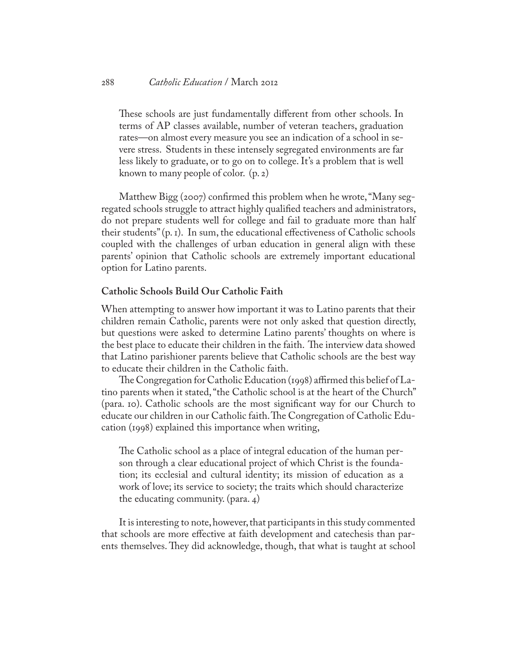These schools are just fundamentally different from other schools. In terms of AP classes available, number of veteran teachers, graduation rates—on almost every measure you see an indication of a school in severe stress. Students in these intensely segregated environments are far less likely to graduate, or to go on to college. It's a problem that is well known to many people of color. (p. 2)

Matthew Bigg (2007) confirmed this problem when he wrote, "Many segregated schools struggle to attract highly qualified teachers and administrators, do not prepare students well for college and fail to graduate more than half their students" (p. 1). In sum, the educational effectiveness of Catholic schools coupled with the challenges of urban education in general align with these parents' opinion that Catholic schools are extremely important educational option for Latino parents.

## **Catholic Schools Build Our Catholic Faith**

When attempting to answer how important it was to Latino parents that their children remain Catholic, parents were not only asked that question directly, but questions were asked to determine Latino parents' thoughts on where is the best place to educate their children in the faith. The interview data showed that Latino parishioner parents believe that Catholic schools are the best way to educate their children in the Catholic faith.

The Congregation for Catholic Education (1998) affirmed this belief of Latino parents when it stated, "the Catholic school is at the heart of the Church" (para. 10). Catholic schools are the most significant way for our Church to educate our children in our Catholic faith. The Congregation of Catholic Education (1998) explained this importance when writing,

The Catholic school as a place of integral education of the human person through a clear educational project of which Christ is the foundation; its ecclesial and cultural identity; its mission of education as a work of love; its service to society; the traits which should characterize the educating community. (para. 4)

It is interesting to note, however, that participants in this study commented that schools are more effective at faith development and catechesis than parents themselves. They did acknowledge, though, that what is taught at school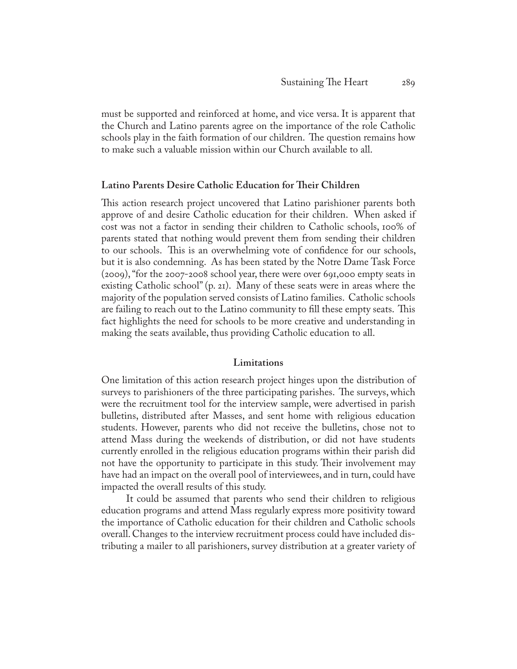must be supported and reinforced at home, and vice versa. It is apparent that the Church and Latino parents agree on the importance of the role Catholic schools play in the faith formation of our children. The question remains how to make such a valuable mission within our Church available to all.

## **Latino Parents Desire Catholic Education for Their Children**

This action research project uncovered that Latino parishioner parents both approve of and desire Catholic education for their children. When asked if cost was not a factor in sending their children to Catholic schools, 100% of parents stated that nothing would prevent them from sending their children to our schools. This is an overwhelming vote of confidence for our schools, but it is also condemning. As has been stated by the Notre Dame Task Force (2009), "for the 2007-2008 school year, there were over 691,000 empty seats in existing Catholic school" (p. 21). Many of these seats were in areas where the majority of the population served consists of Latino families. Catholic schools are failing to reach out to the Latino community to fill these empty seats. This fact highlights the need for schools to be more creative and understanding in making the seats available, thus providing Catholic education to all.

## **Limitations**

One limitation of this action research project hinges upon the distribution of surveys to parishioners of the three participating parishes. The surveys, which were the recruitment tool for the interview sample, were advertised in parish bulletins, distributed after Masses, and sent home with religious education students. However, parents who did not receive the bulletins, chose not to attend Mass during the weekends of distribution, or did not have students currently enrolled in the religious education programs within their parish did not have the opportunity to participate in this study. Their involvement may have had an impact on the overall pool of interviewees, and in turn, could have impacted the overall results of this study.

 It could be assumed that parents who send their children to religious education programs and attend Mass regularly express more positivity toward the importance of Catholic education for their children and Catholic schools overall. Changes to the interview recruitment process could have included distributing a mailer to all parishioners, survey distribution at a greater variety of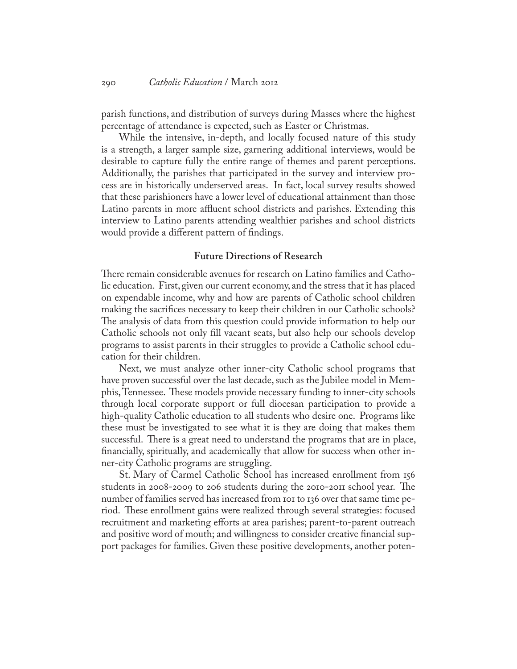parish functions, and distribution of surveys during Masses where the highest percentage of attendance is expected, such as Easter or Christmas.

While the intensive, in-depth, and locally focused nature of this study is a strength, a larger sample size, garnering additional interviews, would be desirable to capture fully the entire range of themes and parent perceptions. Additionally, the parishes that participated in the survey and interview process are in historically underserved areas. In fact, local survey results showed that these parishioners have a lower level of educational attainment than those Latino parents in more affluent school districts and parishes. Extending this interview to Latino parents attending wealthier parishes and school districts would provide a different pattern of findings.

## **Future Directions of Research**

There remain considerable avenues for research on Latino families and Catholic education. First, given our current economy, and the stress that it has placed on expendable income, why and how are parents of Catholic school children making the sacrifices necessary to keep their children in our Catholic schools? The analysis of data from this question could provide information to help our Catholic schools not only fill vacant seats, but also help our schools develop programs to assist parents in their struggles to provide a Catholic school education for their children.

Next, we must analyze other inner-city Catholic school programs that have proven successful over the last decade, such as the Jubilee model in Memphis, Tennessee. These models provide necessary funding to inner-city schools through local corporate support or full diocesan participation to provide a high-quality Catholic education to all students who desire one. Programs like these must be investigated to see what it is they are doing that makes them successful. There is a great need to understand the programs that are in place, financially, spiritually, and academically that allow for success when other inner-city Catholic programs are struggling.

St. Mary of Carmel Catholic School has increased enrollment from 156 students in 2008-2009 to 206 students during the 2010-2011 school year. The number of families served has increased from 101 to 136 over that same time period. These enrollment gains were realized through several strategies: focused recruitment and marketing efforts at area parishes; parent-to-parent outreach and positive word of mouth; and willingness to consider creative financial support packages for families. Given these positive developments, another poten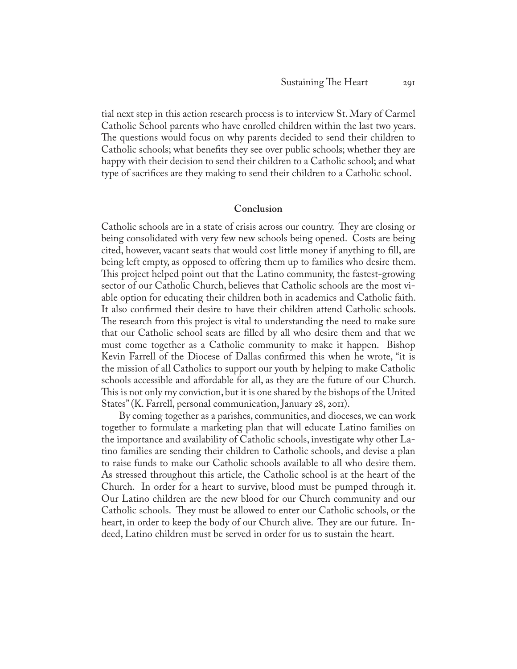tial next step in this action research process is to interview St. Mary of Carmel Catholic School parents who have enrolled children within the last two years. The questions would focus on why parents decided to send their children to Catholic schools; what benefits they see over public schools; whether they are happy with their decision to send their children to a Catholic school; and what type of sacrifices are they making to send their children to a Catholic school.

#### **Conclusion**

Catholic schools are in a state of crisis across our country. They are closing or being consolidated with very few new schools being opened. Costs are being cited, however, vacant seats that would cost little money if anything to fill, are being left empty, as opposed to offering them up to families who desire them. This project helped point out that the Latino community, the fastest-growing sector of our Catholic Church, believes that Catholic schools are the most viable option for educating their children both in academics and Catholic faith. It also confirmed their desire to have their children attend Catholic schools. The research from this project is vital to understanding the need to make sure that our Catholic school seats are filled by all who desire them and that we must come together as a Catholic community to make it happen. Bishop Kevin Farrell of the Diocese of Dallas confirmed this when he wrote, "it is the mission of all Catholics to support our youth by helping to make Catholic schools accessible and affordable for all, as they are the future of our Church. This is not only my conviction, but it is one shared by the bishops of the United States" (K. Farrell, personal communication, January 28, 2011).

By coming together as a parishes, communities, and dioceses, we can work together to formulate a marketing plan that will educate Latino families on the importance and availability of Catholic schools, investigate why other Latino families are sending their children to Catholic schools, and devise a plan to raise funds to make our Catholic schools available to all who desire them. As stressed throughout this article, the Catholic school is at the heart of the Church. In order for a heart to survive, blood must be pumped through it. Our Latino children are the new blood for our Church community and our Catholic schools. They must be allowed to enter our Catholic schools, or the heart, in order to keep the body of our Church alive. They are our future. Indeed, Latino children must be served in order for us to sustain the heart.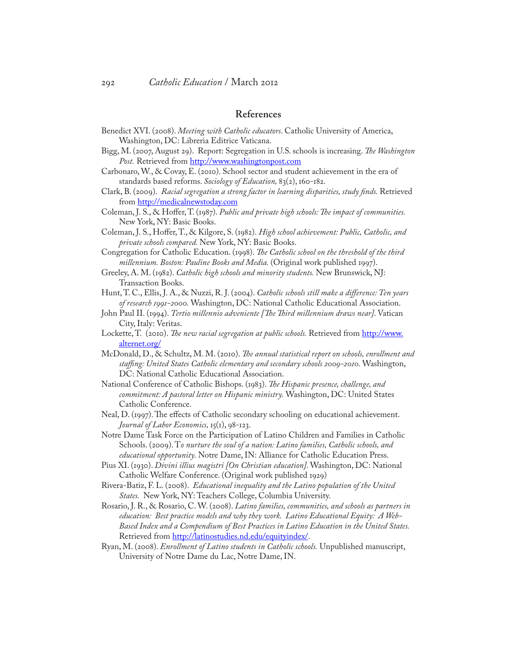## **References**

- Benedict XVI. (2008). *Meeting with Catholic educators*. Catholic University of America, Washington, DC: Libreria Editrice Vaticana.
- Bigg, M. (2007, August 29). Report: Segregation in U.S. schools is increasing. *The Washington*  Post. Retrieved from [http://www.washingtonpost.com](http://www.washingtonpost.com/)
- Carbonaro, W., & Covay, E. (2010). School sector and student achievement in the era of standards based reforms. *Sociology of Education,* 83(2), 160-182.
- Clark, B. (2009). *Racial segregation a strong factor in learning disparities, study finds.* Retrieved from http://medicalnewstoday.com
- Coleman, J. S., & Hoffer, T. (1987). *Public and private high schools: The impact of communities.* New York, NY: Basic Books.
- Coleman, J. S., Hoffer, T., & Kilgore, S. (1982). *High school achievement: Public, Catholic, and private schools compared.* New York, NY: Basic Books.
- Congregation for Catholic Education. (1998). *The Catholic school on the threshold of the third millennium. Boston: Pauline Books and Media.* (Original work published 1997).
- Greeley, A. M. (1982). *Catholic high schools and minority students.* New Brunswick, NJ: Transaction Books.
- Hunt, T. C., Ellis, J. A., & Nuzzi, R. J. (2004). *Catholic schools still make a difference: Ten years of research 1991-2000.* Washington, DC: National Catholic Educational Association.
- John Paul II. (1994). *Tertio millennio adveniente [The Third millennium draws near]*. Vatican City, Italy: Veritas.
- Lockette, T. (2010). *The new racial segregation at public schools*. Retrieved from [http://www.](http://www.alternet.org/) [alternet.org/](http://www.alternet.org/)
- McDonald, D., & Schultz, M. M. (2010). *The annual statistical report on schools, enrollment and staffing: United States Catholic elementary and secondary schools 2009-2010.* Washington, DC: National Catholic Educational Association.
- National Conference of Catholic Bishops. (1983). *The Hispanic presence, challenge, and commitment: A pastoral letter on Hispanic ministry.* Washington, DC: United States Catholic Conference.
- Neal, D. (1997). The effects of Catholic secondary schooling on educational achievement. *Journal of Labor Economics,* 15(1), 98-123.
- Notre Dame Task Force on the Participation of Latino Children and Families in Catholic Schools. (2009). T*o nurture the soul of a nation: Latino families, Catholic schools, and educational opportunity.* Notre Dame, IN: Alliance for Catholic Education Press.
- Pius XI. (1930). *Divini illius magistri [On Christian education]*. Washington, DC: National Catholic Welfare Conference. (Original work published 1929)
- Rivera-Batiz, F. L. (2008). *Educational inequality and the Latino population of the United States.* New York, NY: Teachers College, Columbia University.
- Rosario, J. R., & Rosario, C. W. (2008). *Latino families, communities, and schools as partners in education: Best practice models and why they work. Latino Educational Equity: A Web-Based Index and a Compendium of Best Practices in Latino Education in the United States.* Retrieved from<http://latinostudies.nd.edu/equityindex/>.
- Ryan, M. (2008). *Enrollment of Latino students in Catholic schools.* Unpublished manuscript, University of Notre Dame du Lac, Notre Dame, IN.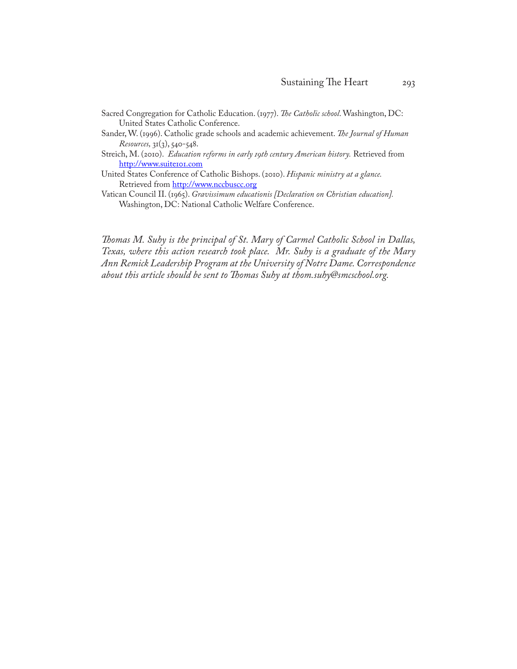- Sacred Congregation for Catholic Education. (1977). *The Catholic school*. Washington, DC: United States Catholic Conference.
- Sander, W. (1996). Catholic grade schools and academic achievement. *The Journal of Human Resources,* 31(3), 540-548.
- Streich, M. (2010). *Education reforms in early 19th century American history.* Retrieved from <http://www.suite101.com>
- United States Conference of Catholic Bishops. (2010). *Hispanic ministry at a glance.*  Retrieved from<http://www.nccbuscc.org>
- Vatican Council II. (1965). *Gravissimum educationis [Declaration on Christian education].* Washington, DC: National Catholic Welfare Conference.

*Thomas M. Suhy is the principal of St. Mary of Carmel Catholic School in Dallas, Texas, where this action research took place. Mr. Suhy is a graduate of the Mary Ann Remick Leadership Program at the University of Notre Dame. Correspondence about this article should be sent to Thomas Suhy at thom.suhy@smcschool.org.*